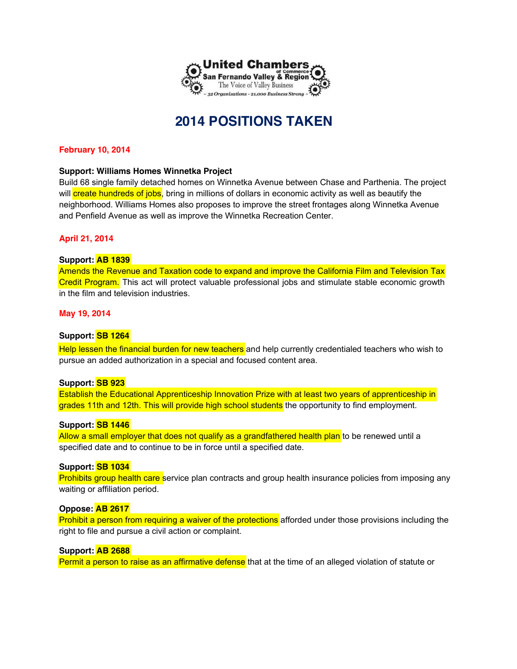

# **2014 POSITIONS TAKEN**

## **February 10, 2014**

## **Support: Williams Homes Winnetka Project**

Build 68 single family detached homes on Winnetka Avenue between Chase and Parthenia. The project will create hundreds of jobs, bring in millions of dollars in economic activity as well as beautify the neighborhood. Williams Homes also proposes to improve the street frontages along Winnetka Avenue and Penfield Avenue as well as improve the Winnetka Recreation Center.

## **April 21, 2014**

## **Support: AB 1839**

Amends the Revenue and Taxation code to expand and improve the California Film and Television Tax Credit Program. This act will protect valuable professional jobs and stimulate stable economic growth in the film and television industries.

## **May 19, 2014**

## **Support: SB 1264**

Help lessen the financial burden for new teachers and help currently credentialed teachers who wish to pursue an added authorization in a special and focused content area.

## **Support: SB 923**

Establish the Educational Apprenticeship Innovation Prize with at least two years of apprenticeship in grades 11th and 12th. This will provide high school students the opportunity to find employment.

## **Support: SB 1446**

Allow a small employer that does not qualify as a grandfathered health plan to be renewed until a specified date and to continue to be in force until a specified date.

## **Support: SB 1034**

Prohibits group health care service plan contracts and group health insurance policies from imposing any waiting or affiliation period.

## **Oppose: AB 2617**

Prohibit a person from requiring a waiver of the protections afforded under those provisions including the right to file and pursue a civil action or complaint.

## **Support: AB 2688**

Permit a person to raise as an affirmative defense that at the time of an alleged violation of statute or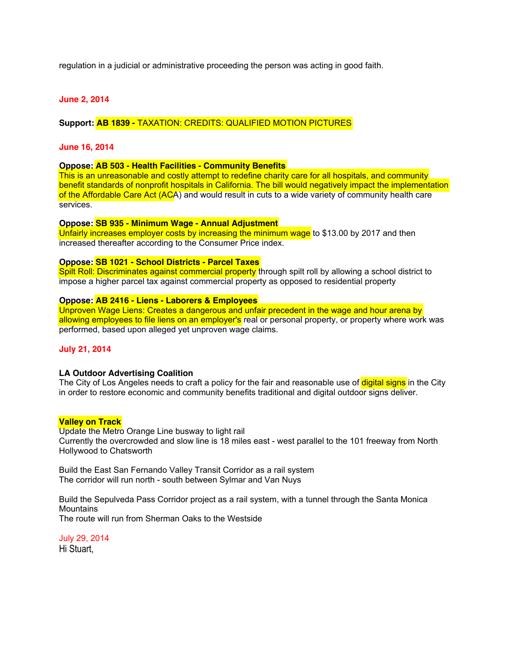regulation in a judicial or administrative proceeding the person was acting in good faith.

## **June 2, 2014**

**Support: AB 1839 -** TAXATION: CREDITS: QUALIFIED MOTION PICTURES

#### **June 16, 2014**

#### **Oppose: AB 503 - Health Facilities - Community Benefits**

This is an unreasonable and costly attempt to redefine charity care for all hospitals, and community benefit standards of nonprofit hospitals in California. The bill would negatively impact the implementation of the Affordable Care Act (ACA) and would result in cuts to a wide variety of community health care services.

#### **Oppose: SB 935 - Minimum Wage - Annual Adjustment**

Unfairly increases employer costs by increasing the minimum wage to \$13.00 by 2017 and then increased thereafter according to the Consumer Price index.

#### **Oppose: SB 1021 - School Districts - Parcel Taxes**

Spilt Roll: Discriminates against commercial property through spilt roll by allowing a school district to impose a higher parcel tax against commercial property as opposed to residential property

#### **Oppose: AB 2416 - Liens - Laborers & Employees**

Unproven Wage Liens: Creates a dangerous and unfair precedent in the wage and hour arena by allowing employees to file liens on an employer's real or personal property, or property where work was performed, based upon alleged yet unproven wage claims.

## **July 21, 2014**

#### **LA Outdoor Advertising Coalition**

The City of Los Angeles needs to craft a policy for the fair and reasonable use of **digital signs** in the City in order to restore economic and community benefits traditional and digital outdoor signs deliver.

#### **Valley on Track**

Update the Metro Orange Line busway to light rail Currently the overcrowded and slow line is 18 miles east - west parallel to the 101 freeway from North Hollywood to Chatsworth

Build the East San Fernando Valley Transit Corridor as a rail system The corridor will run north - south between Sylmar and Van Nuys

Build the Sepulveda Pass Corridor project as a rail system, with a tunnel through the Santa Monica **Mountains** The route will run from Sherman Oaks to the Westside

July 29, 2014 Hi Stuart,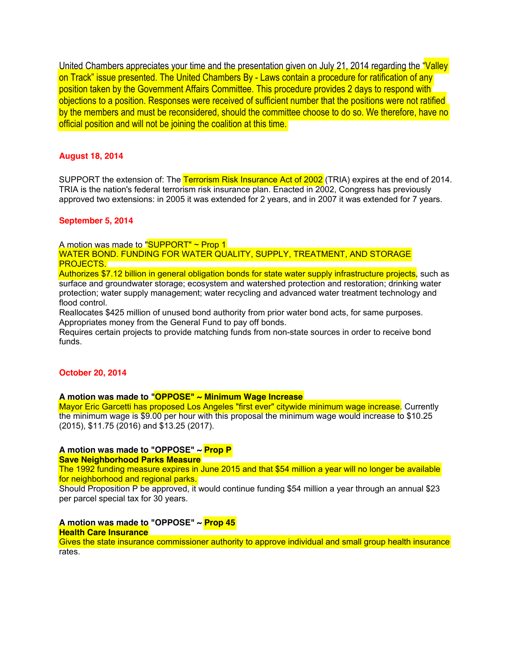United Chambers appreciates your time and the presentation given on July 21, 2014 regarding the "Valley on Track" issue presented. The United Chambers By - Laws contain a procedure for ratification of any position taken by the Government Affairs Committee. This procedure provides 2 days to respond with objections to a position. Responses were received of sufficient number that the positions were not ratified by the members and must be reconsidered, should the committee choose to do so. We therefore, have no official position and will not be joining the coalition at this time.

## **August 18, 2014**

SUPPORT the extension of: The Terrorism Risk Insurance Act of 2002 (TRIA) expires at the end of 2014. TRIA is the nation's federal terrorism risk insurance plan. Enacted in 2002, Congress has previously approved two extensions: in 2005 it was extended for 2 years, and in 2007 it was extended for 7 years.

#### **September 5, 2014**

A motion was made to "SUPPORT" ~ Prop 1

WATER BOND. FUNDING FOR WATER QUALITY, SUPPLY, TREATMENT, AND STORAGE PROJECTS.

Authorizes \$7.12 billion in general obligation bonds for state water supply infrastructure projects, such as surface and groundwater storage; ecosystem and watershed protection and restoration; drinking water protection; water supply management; water recycling and advanced water treatment technology and flood control.

Reallocates \$425 million of unused bond authority from prior water bond acts, for same purposes. Appropriates money from the General Fund to pay off bonds.

Requires certain projects to provide matching funds from non-state sources in order to receive bond funds.

## **October 20, 2014**

**A motion was made to "OPPOSE" ~ Minimum Wage Increase** 

Mayor Eric Garcetti has proposed Los Angeles "first ever" citywide minimum wage increase. Currently the minimum wage is \$9.00 per hour with this proposal the minimum wage would increase to \$10.25 (2015), \$11.75 (2016) and \$13.25 (2017).

## **A motion was made to "OPPOSE" ~ Prop P**

**Save Neighborhood Parks Measure** 

The 1992 funding measure expires in June 2015 and that \$54 million a year will no longer be available for neighborhood and regional parks.

Should Proposition P be approved, it would continue funding \$54 million a year through an annual \$23 per parcel special tax for 30 years.

## **A motion was made to "OPPOSE" ~ Prop 45**

## **Health Care Insurance**

Gives the state insurance commissioner authority to approve individual and small group health insurance rates.